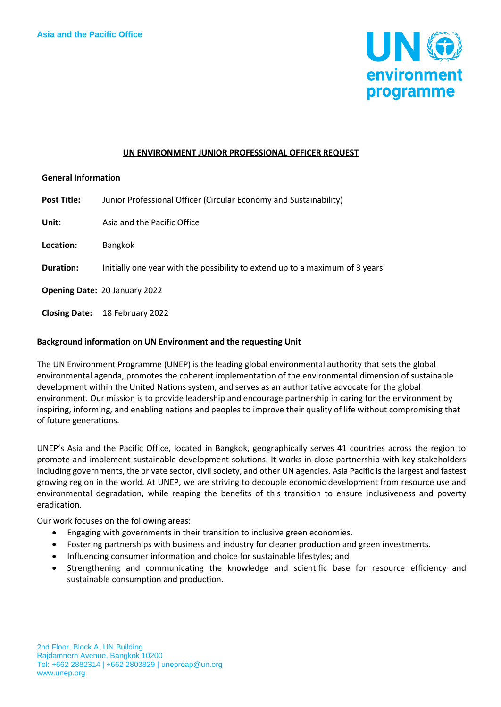

#### **UN ENVIRONMENT JUNIOR PROFESSIONAL OFFICER REQUEST**

#### **General Information**

| <b>Post Title:</b> | Junior Professional Officer (Circular Economy and Sustainability)            |
|--------------------|------------------------------------------------------------------------------|
| Unit:              | Asia and the Pacific Office                                                  |
| Location:          | <b>Bangkok</b>                                                               |
| Duration:          | Initially one year with the possibility to extend up to a maximum of 3 years |
|                    | <b>Opening Date: 20 January 2022</b>                                         |
|                    | Closing Date: 18 February 2022                                               |

## **Background information on UN Environment and the requesting Unit**

The UN Environment Programme (UNEP) is the leading global environmental authority that sets the global environmental agenda, promotes the coherent implementation of the environmental dimension of sustainable development within the United Nations system, and serves as an authoritative advocate for the global environment. Our mission is to provide leadership and encourage partnership in caring for the environment by inspiring, informing, and enabling nations and peoples to improve their quality of life without compromising that of future generations.

UNEP's Asia and the Pacific Office, located in Bangkok, geographically serves 41 countries across the region to promote and implement sustainable development solutions. It works in close partnership with key stakeholders including governments, the private sector, civil society, and other UN agencies. Asia Pacific is the largest and fastest growing region in the world. At UNEP, we are striving to decouple economic development from resource use and environmental degradation, while reaping the benefits of this transition to ensure inclusiveness and poverty eradication.

Our work focuses on the following areas:

- Engaging with governments in their transition to inclusive green economies.
- Fostering partnerships with business and industry for cleaner production and green investments.
- Influencing consumer information and choice for sustainable lifestyles; and
- Strengthening and communicating the knowledge and scientific base for resource efficiency and sustainable consumption and production.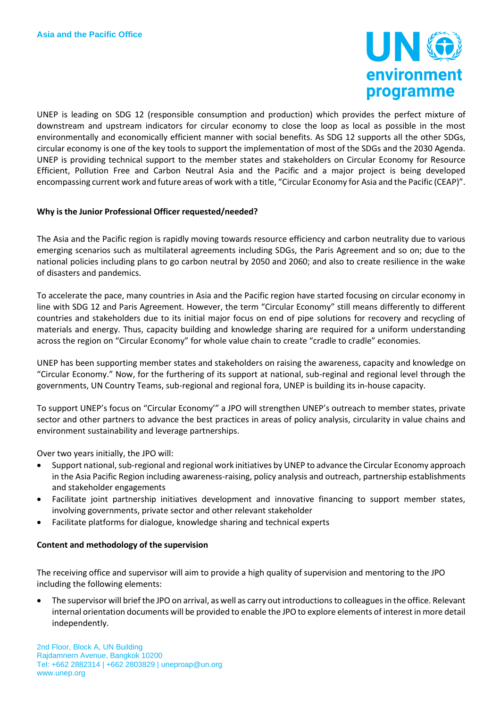

UNEP is leading on SDG 12 (responsible consumption and production) which provides the perfect mixture of downstream and upstream indicators for circular economy to close the loop as local as possible in the most environmentally and economically efficient manner with social benefits. As SDG 12 supports all the other SDGs, circular economy is one of the key tools to support the implementation of most of the SDGs and the 2030 Agenda. UNEP is providing technical support to the member states and stakeholders on Circular Economy for Resource Efficient, Pollution Free and Carbon Neutral Asia and the Pacific and a major project is being developed encompassing current work and future areas of work with a title, "Circular Economy for Asia and the Pacific (CEAP)".

#### **Why is the Junior Professional Officer requested/needed?**

The Asia and the Pacific region is rapidly moving towards resource efficiency and carbon neutrality due to various emerging scenarios such as multilateral agreements including SDGs, the Paris Agreement and so on; due to the national policies including plans to go carbon neutral by 2050 and 2060; and also to create resilience in the wake of disasters and pandemics.

To accelerate the pace, many countries in Asia and the Pacific region have started focusing on circular economy in line with SDG 12 and Paris Agreement. However, the term "Circular Economy" still means differently to different countries and stakeholders due to its initial major focus on end of pipe solutions for recovery and recycling of materials and energy. Thus, capacity building and knowledge sharing are required for a uniform understanding across the region on "Circular Economy" for whole value chain to create "cradle to cradle" economies.

UNEP has been supporting member states and stakeholders on raising the awareness, capacity and knowledge on "Circular Economy." Now, for the furthering of its support at national, sub-reginal and regional level through the governments, UN Country Teams, sub-regional and regional fora, UNEP is building its in-house capacity.

To support UNEP's focus on "Circular Economy'" a JPO will strengthen UNEP's outreach to member states, private sector and other partners to advance the best practices in areas of policy analysis, circularity in value chains and environment sustainability and leverage partnerships.

Over two years initially, the JPO will:

- Support national, sub-regional and regional work initiatives by UNEP to advance the Circular Economy approach in the Asia Pacific Region including awareness-raising, policy analysis and outreach, partnership establishments and stakeholder engagements
- Facilitate joint partnership initiatives development and innovative financing to support member states, involving governments, private sector and other relevant stakeholder
- Facilitate platforms for dialogue, knowledge sharing and technical experts

#### **Content and methodology of the supervision**

The receiving office and supervisor will aim to provide a high quality of supervision and mentoring to the JPO including the following elements:

• The supervisor will brief the JPO on arrival, as well as carry out introductions to colleagues in the office. Relevant internal orientation documents will be provided to enable the JPO to explore elements of interest in more detail independently.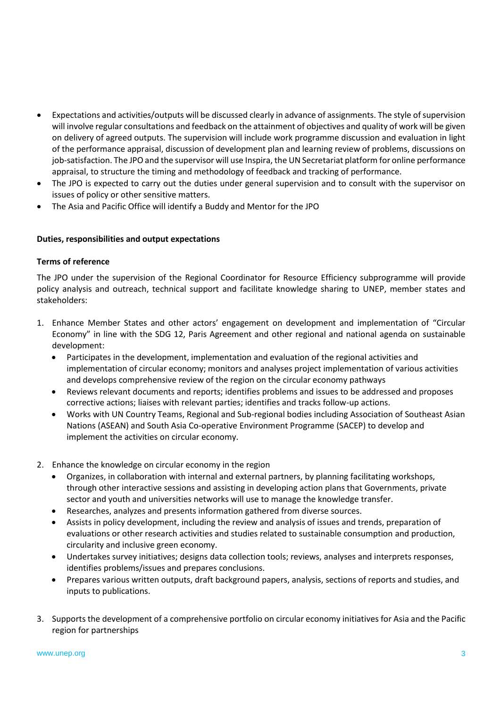- Expectations and activities/outputs will be discussed clearly in advance of assignments. The style of supervision will involve regular consultations and feedback on the attainment of objectives and quality of work will be given on delivery of agreed outputs. The supervision will include work programme discussion and evaluation in light of the performance appraisal, discussion of development plan and learning review of problems, discussions on job-satisfaction. The JPO and the supervisor will use Inspira, the UN Secretariat platform for online performance appraisal, to structure the timing and methodology of feedback and tracking of performance.
- The JPO is expected to carry out the duties under general supervision and to consult with the supervisor on issues of policy or other sensitive matters.
- The Asia and Pacific Office will identify a Buddy and Mentor for the JPO

# **Duties, responsibilities and output expectations**

# **Terms of reference**

The JPO under the supervision of the Regional Coordinator for Resource Efficiency subprogramme will provide policy analysis and outreach, technical support and facilitate knowledge sharing to UNEP, member states and stakeholders:

- 1. Enhance Member States and other actors' engagement on development and implementation of "Circular Economy" in line with the SDG 12, Paris Agreement and other regional and national agenda on sustainable development:
	- Participates in the development, implementation and evaluation of the regional activities and implementation of circular economy; monitors and analyses project implementation of various activities and develops comprehensive review of the region on the circular economy pathways
	- Reviews relevant documents and reports; identifies problems and issues to be addressed and proposes corrective actions; liaises with relevant parties; identifies and tracks follow-up actions.
	- Works with UN Country Teams, Regional and Sub-regional bodies including Association of Southeast Asian Nations (ASEAN) and South Asia Co-operative Environment Programme (SACEP) to develop and implement the activities on circular economy.
- 2. Enhance the knowledge on circular economy in the region
	- Organizes, in collaboration with internal and external partners, by planning facilitating workshops, through other interactive sessions and assisting in developing action plans that Governments, private sector and youth and universities networks will use to manage the knowledge transfer.
	- Researches, analyzes and presents information gathered from diverse sources.
	- Assists in policy development, including the review and analysis of issues and trends, preparation of evaluations or other research activities and studies related to sustainable consumption and production, circularity and inclusive green economy.
	- Undertakes survey initiatives; designs data collection tools; reviews, analyses and interprets responses, identifies problems/issues and prepares conclusions.
	- Prepares various written outputs, draft background papers, analysis, sections of reports and studies, and inputs to publications.
- 3. Supports the development of a comprehensive portfolio on circular economy initiatives for Asia and the Pacific region for partnerships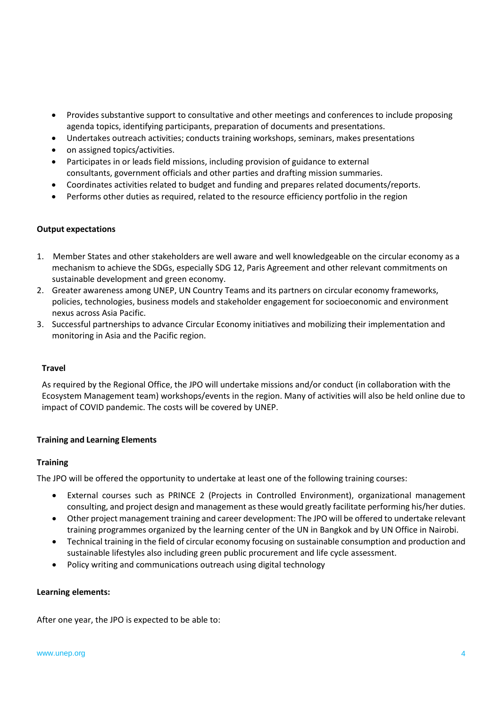- Provides substantive support to consultative and other meetings and conferences to include proposing agenda topics, identifying participants, preparation of documents and presentations.
- Undertakes outreach activities; conducts training workshops, seminars, makes presentations
- on assigned topics/activities.
- Participates in or leads field missions, including provision of guidance to external consultants, government officials and other parties and drafting mission summaries.
- Coordinates activities related to budget and funding and prepares related documents/reports.
- Performs other duties as required, related to the resource efficiency portfolio in the region

## **Output expectations**

- 1. Member States and other stakeholders are well aware and well knowledgeable on the circular economy as a mechanism to achieve the SDGs, especially SDG 12, Paris Agreement and other relevant commitments on sustainable development and green economy.
- 2. Greater awareness among UNEP, UN Country Teams and its partners on circular economy frameworks, policies, technologies, business models and stakeholder engagement for socioeconomic and environment nexus across Asia Pacific.
- 3. Successful partnerships to advance Circular Economy initiatives and mobilizing their implementation and monitoring in Asia and the Pacific region.

## **Travel**

As required by the Regional Office, the JPO will undertake missions and/or conduct (in collaboration with the Ecosystem Management team) workshops/events in the region. Many of activities will also be held online due to impact of COVID pandemic. The costs will be covered by UNEP.

## **Training and Learning Elements**

## **Training**

The JPO will be offered the opportunity to undertake at least one of the following training courses:

- External courses such as PRINCE 2 (Projects in Controlled Environment), organizational management consulting, and project design and management as these would greatly facilitate performing his/her duties.
- Other project management training and career development: The JPO will be offered to undertake relevant training programmes organized by the learning center of the UN in Bangkok and by UN Office in Nairobi.
- Technical training in the field of circular economy focusing on sustainable consumption and production and sustainable lifestyles also including green public procurement and life cycle assessment.
- Policy writing and communications outreach using digital technology

## **Learning elements:**

After one year, the JPO is expected to be able to: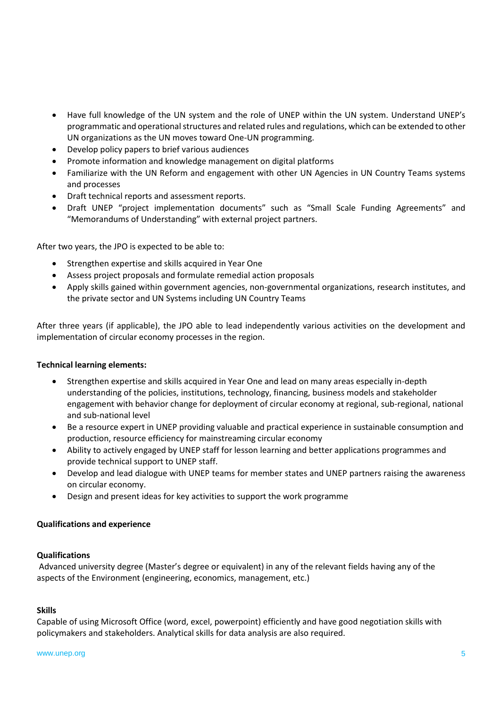- Have full knowledge of the UN system and the role of UNEP within the UN system. Understand UNEP's programmatic and operational structures and related rules and regulations, which can be extended to other UN organizations as the UN moves toward One-UN programming.
- Develop policy papers to brief various audiences
- Promote information and knowledge management on digital platforms
- Familiarize with the UN Reform and engagement with other UN Agencies in UN Country Teams systems and processes
- Draft technical reports and assessment reports.
- Draft UNEP "project implementation documents" such as "Small Scale Funding Agreements" and "Memorandums of Understanding" with external project partners.

After two years, the JPO is expected to be able to:

- Strengthen expertise and skills acquired in Year One
- Assess project proposals and formulate remedial action proposals
- Apply skills gained within government agencies, non-governmental organizations, research institutes, and the private sector and UN Systems including UN Country Teams

After three years (if applicable), the JPO able to lead independently various activities on the development and implementation of circular economy processes in the region.

# **Technical learning elements:**

- Strengthen expertise and skills acquired in Year One and lead on many areas especially in-depth understanding of the policies, institutions, technology, financing, business models and stakeholder engagement with behavior change for deployment of circular economy at regional, sub-regional, national and sub-national level
- Be a resource expert in UNEP providing valuable and practical experience in sustainable consumption and production, resource efficiency for mainstreaming circular economy
- Ability to actively engaged by UNEP staff for lesson learning and better applications programmes and provide technical support to UNEP staff.
- Develop and lead dialogue with UNEP teams for member states and UNEP partners raising the awareness on circular economy.
- Design and present ideas for key activities to support the work programme

## **Qualifications and experience**

## **Qualifications**

Advanced university degree (Master's degree or equivalent) in any of the relevant fields having any of the aspects of the Environment (engineering, economics, management, etc.)

## **Skills**

Capable of using Microsoft Office (word, excel, powerpoint) efficiently and have good negotiation skills with policymakers and stakeholders. Analytical skills for data analysis are also required.